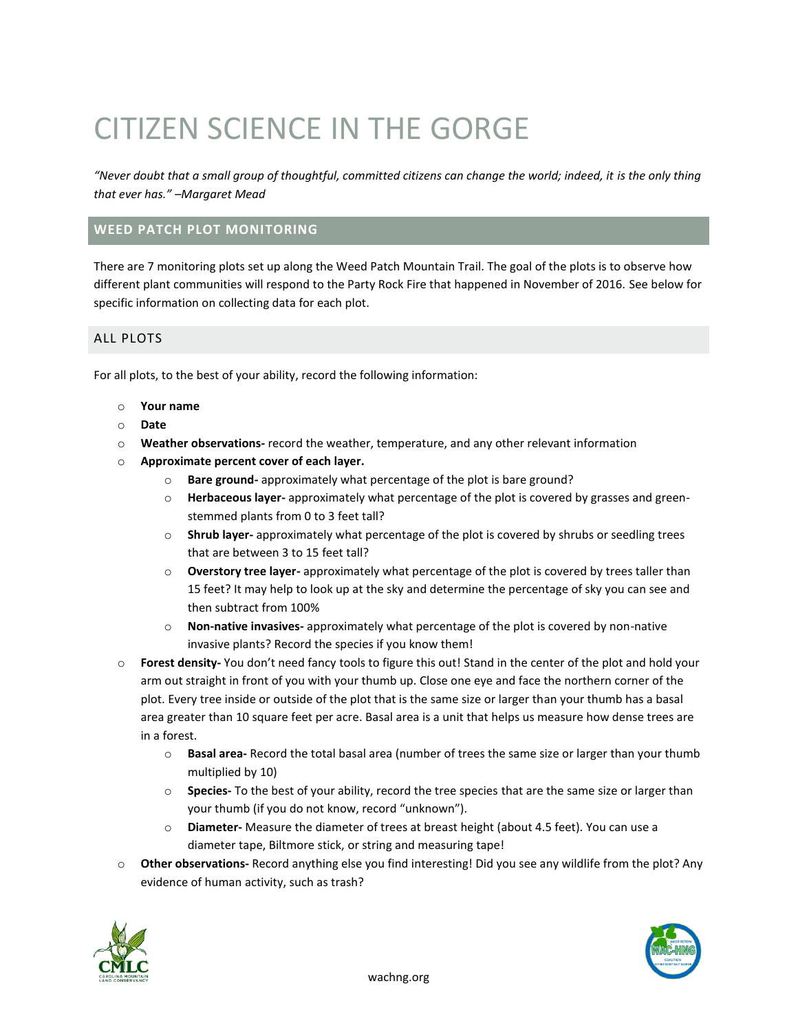# CITIZEN SCIENCE IN THE GORGE

*"Never doubt that a small group of thoughtful, committed citizens can change the world; indeed, it is the only thing that ever has." –Margaret Mead*

## **WEED PATCH PLOT MONITORING**

There are 7 monitoring plots set up along the Weed Patch Mountain Trail. The goal of the plots is to observe how different plant communities will respond to the Party Rock Fire that happened in November of 2016. See below for specific information on collecting data for each plot.

### ALL PLOTS

For all plots, to the best of your ability, record the following information:

- o **Your name**
- o **Date**
- o **Weather observations-** record the weather, temperature, and any other relevant information
- o **Approximate percent cover of each layer.**
	- o **Bare ground-** approximately what percentage of the plot is bare ground?
	- o **Herbaceous layer-** approximately what percentage of the plot is covered by grasses and greenstemmed plants from 0 to 3 feet tall?
	- o **Shrub layer-** approximately what percentage of the plot is covered by shrubs or seedling trees that are between 3 to 15 feet tall?
	- o **Overstory tree layer-** approximately what percentage of the plot is covered by trees taller than 15 feet? It may help to look up at the sky and determine the percentage of sky you can see and then subtract from 100%
	- o **Non-native invasives-** approximately what percentage of the plot is covered by non-native invasive plants? Record the species if you know them!
- o **Forest density-** You don't need fancy tools to figure this out! Stand in the center of the plot and hold your arm out straight in front of you with your thumb up. Close one eye and face the northern corner of the plot. Every tree inside or outside of the plot that is the same size or larger than your thumb has a basal area greater than 10 square feet per acre. Basal area is a unit that helps us measure how dense trees are in a forest.
	- o **Basal area-** Record the total basal area (number of trees the same size or larger than your thumb multiplied by 10)
	- o **Species-** To the best of your ability, record the tree species that are the same size or larger than your thumb (if you do not know, record "unknown").
	- o **Diameter-** Measure the diameter of trees at breast height (about 4.5 feet). You can use a diameter tape, Biltmore stick, or string and measuring tape!
- o **Other observations-** Record anything else you find interesting! Did you see any wildlife from the plot? Any evidence of human activity, such as trash?



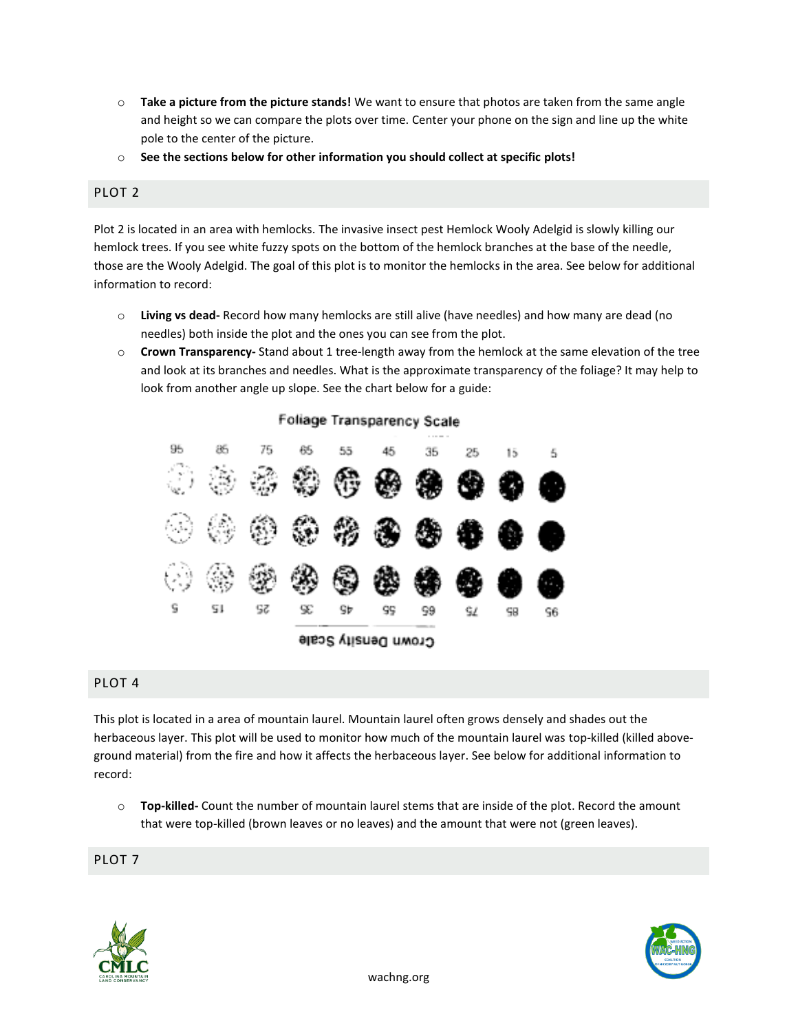- o **Take a picture from the picture stands!** We want to ensure that photos are taken from the same angle and height so we can compare the plots over time. Center your phone on the sign and line up the white pole to the center of the picture.
- o **See the sections below for other information you should collect at specific plots!**

## PLOT 2

Plot 2 is located in an area with hemlocks. The invasive insect pest Hemlock Wooly Adelgid is slowly killing our hemlock trees. If you see white fuzzy spots on the bottom of the hemlock branches at the base of the needle, those are the Wooly Adelgid. The goal of this plot is to monitor the hemlocks in the area. See below for additional information to record:

- o **Living vs dead-** Record how many hemlocks are still alive (have needles) and how many are dead (no needles) both inside the plot and the ones you can see from the plot.
- o **Crown Transparency-** Stand about 1 tree-length away from the hemlock at the same elevation of the tree and look at its branches and needles. What is the approximate transparency of the foliage? It may help to look from another angle up slope. See the chart below for a guide:



## PLOT 4

This plot is located in a area of mountain laurel. Mountain laurel often grows densely and shades out the herbaceous layer. This plot will be used to monitor how much of the mountain laurel was top-killed (killed aboveground material) from the fire and how it affects the herbaceous layer. See below for additional information to record:

o **Top-killed-** Count the number of mountain laurel stems that are inside of the plot. Record the amount that were top-killed (brown leaves or no leaves) and the amount that were not (green leaves).

PLOT 7